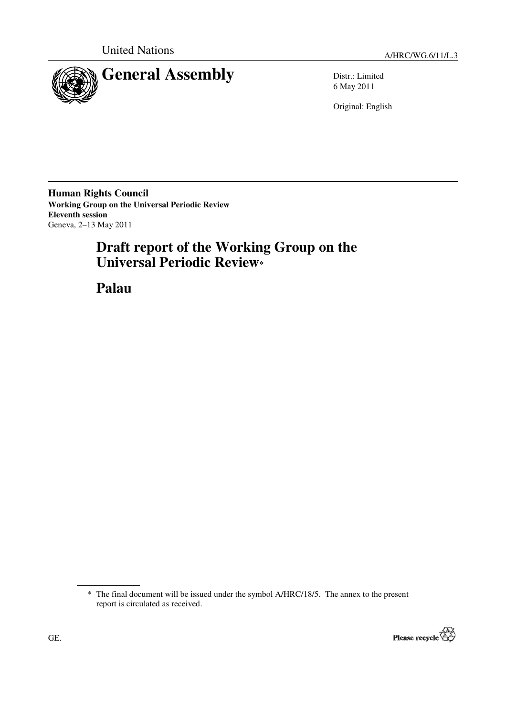

6 May 2011

Original: English

**Human Rights Council Working Group on the Universal Periodic Review Eleventh session**  Geneva, 2–13 May 2011

# **Draft report of the Working Group on the Universal Periodic Review\***

 **Palau** 

<sup>\*</sup> The final document will be issued under the symbol A/HRC/18/5. The annex to the present report is circulated as received.

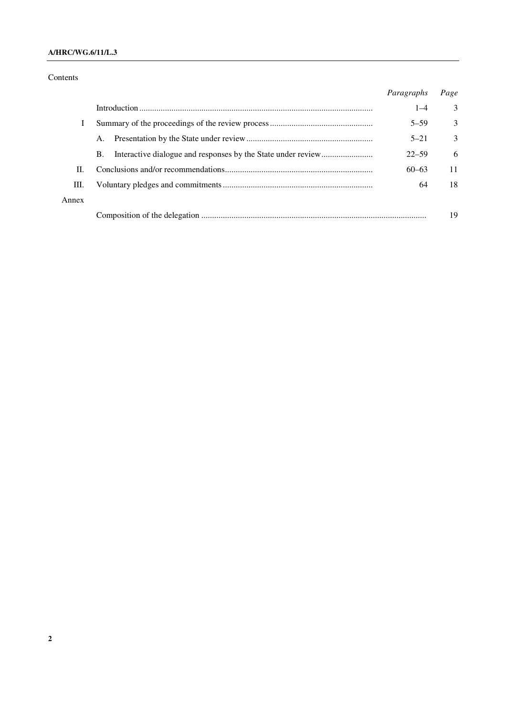#### **A/HRC/WG.6/11/L.3**

#### Contents

|       |           | Paragraphs | Page          |
|-------|-----------|------------|---------------|
|       |           | $1 - 4$    | 3             |
| I     |           | $5 - 59$   | 3             |
|       | Α.        | $5 - 21$   | $\mathcal{E}$ |
|       | <b>B.</b> | $22 - 59$  | 6             |
| II.   |           | $60 - 63$  | 11            |
| Ш.    |           | 64         | 18            |
| Annex |           |            |               |
|       |           |            | 19            |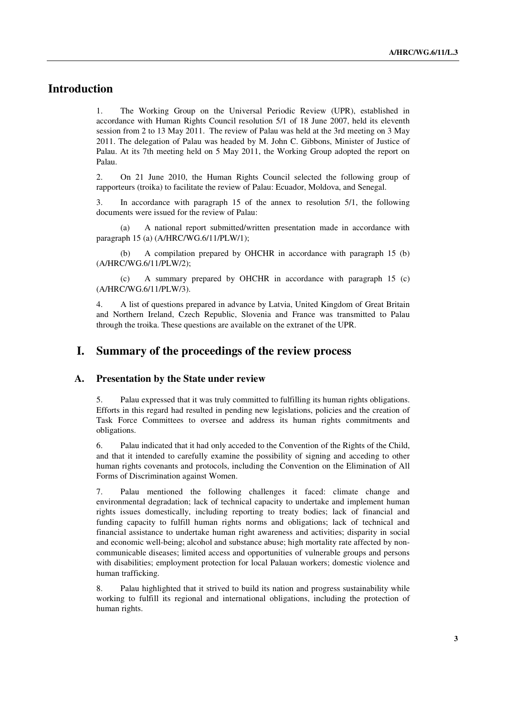## **Introduction**

1. The Working Group on the Universal Periodic Review (UPR), established in accordance with Human Rights Council resolution 5/1 of 18 June 2007, held its eleventh session from 2 to 13 May 2011. The review of Palau was held at the 3rd meeting on 3 May 2011. The delegation of Palau was headed by M. John C. Gibbons, Minister of Justice of Palau. At its 7th meeting held on 5 May 2011, the Working Group adopted the report on Palau.

2. On 21 June 2010, the Human Rights Council selected the following group of rapporteurs (troika) to facilitate the review of Palau: Ecuador, Moldova, and Senegal.

3. In accordance with paragraph 15 of the annex to resolution 5/1, the following documents were issued for the review of Palau:

 (a) A national report submitted/written presentation made in accordance with paragraph 15 (a) (A/HRC/WG.6/11/PLW/1);

 (b) A compilation prepared by OHCHR in accordance with paragraph 15 (b) (A/HRC/WG.6/11/PLW/2);

 (c) A summary prepared by OHCHR in accordance with paragraph 15 (c) (A/HRC/WG.6/11/PLW/3).

4. A list of questions prepared in advance by Latvia, United Kingdom of Great Britain and Northern Ireland, Czech Republic, Slovenia and France was transmitted to Palau through the troika. These questions are available on the extranet of the UPR.

#### **I. Summary of the proceedings of the review process**

#### **A. Presentation by the State under review**

5. Palau expressed that it was truly committed to fulfilling its human rights obligations. Efforts in this regard had resulted in pending new legislations, policies and the creation of Task Force Committees to oversee and address its human rights commitments and obligations.

6. Palau indicated that it had only acceded to the Convention of the Rights of the Child, and that it intended to carefully examine the possibility of signing and acceding to other human rights covenants and protocols, including the Convention on the Elimination of All Forms of Discrimination against Women.

7. Palau mentioned the following challenges it faced: climate change and environmental degradation; lack of technical capacity to undertake and implement human rights issues domestically, including reporting to treaty bodies; lack of financial and funding capacity to fulfill human rights norms and obligations; lack of technical and financial assistance to undertake human right awareness and activities; disparity in social and economic well-being; alcohol and substance abuse; high mortality rate affected by noncommunicable diseases; limited access and opportunities of vulnerable groups and persons with disabilities; employment protection for local Palauan workers; domestic violence and human trafficking.

8. Palau highlighted that it strived to build its nation and progress sustainability while working to fulfill its regional and international obligations, including the protection of human rights.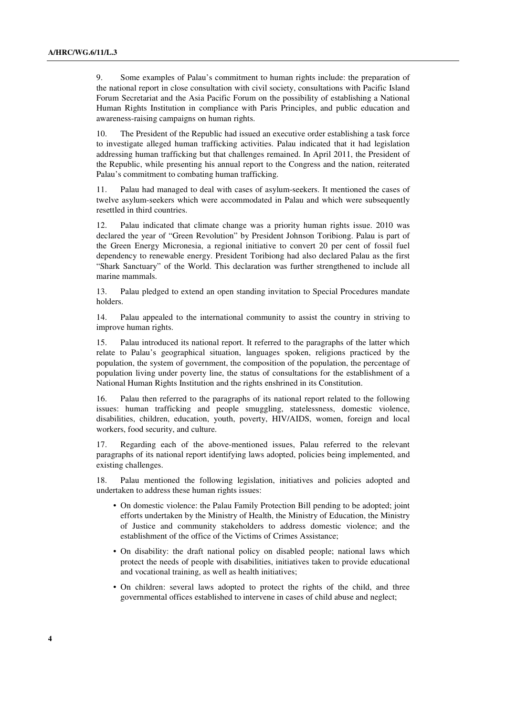9. Some examples of Palau's commitment to human rights include: the preparation of the national report in close consultation with civil society, consultations with Pacific Island Forum Secretariat and the Asia Pacific Forum on the possibility of establishing a National Human Rights Institution in compliance with Paris Principles, and public education and awareness-raising campaigns on human rights.

10. The President of the Republic had issued an executive order establishing a task force to investigate alleged human trafficking activities. Palau indicated that it had legislation addressing human trafficking but that challenges remained. In April 2011, the President of the Republic, while presenting his annual report to the Congress and the nation, reiterated Palau's commitment to combating human trafficking.

11. Palau had managed to deal with cases of asylum-seekers. It mentioned the cases of twelve asylum-seekers which were accommodated in Palau and which were subsequently resettled in third countries.

12. Palau indicated that climate change was a priority human rights issue. 2010 was declared the year of "Green Revolution" by President Johnson Toribiong. Palau is part of the Green Energy Micronesia, a regional initiative to convert 20 per cent of fossil fuel dependency to renewable energy. President Toribiong had also declared Palau as the first "Shark Sanctuary" of the World. This declaration was further strengthened to include all marine mammals.

13. Palau pledged to extend an open standing invitation to Special Procedures mandate holders.

14. Palau appealed to the international community to assist the country in striving to improve human rights.

15. Palau introduced its national report. It referred to the paragraphs of the latter which relate to Palau's geographical situation, languages spoken, religions practiced by the population, the system of government, the composition of the population, the percentage of population living under poverty line, the status of consultations for the establishment of a National Human Rights Institution and the rights enshrined in its Constitution.

16. Palau then referred to the paragraphs of its national report related to the following issues: human trafficking and people smuggling, statelessness, domestic violence, disabilities, children, education, youth, poverty, HIV/AIDS, women, foreign and local workers, food security, and culture.

17. Regarding each of the above-mentioned issues, Palau referred to the relevant paragraphs of its national report identifying laws adopted, policies being implemented, and existing challenges.

18. Palau mentioned the following legislation, initiatives and policies adopted and undertaken to address these human rights issues:

- On domestic violence: the Palau Family Protection Bill pending to be adopted; joint efforts undertaken by the Ministry of Health, the Ministry of Education, the Ministry of Justice and community stakeholders to address domestic violence; and the establishment of the office of the Victims of Crimes Assistance;
- On disability: the draft national policy on disabled people; national laws which protect the needs of people with disabilities, initiatives taken to provide educational and vocational training, as well as health initiatives;
- On children: several laws adopted to protect the rights of the child, and three governmental offices established to intervene in cases of child abuse and neglect;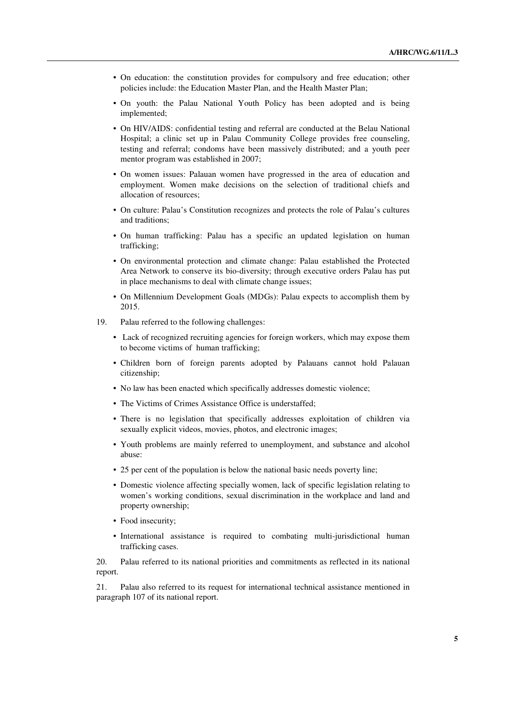- On education: the constitution provides for compulsory and free education; other policies include: the Education Master Plan, and the Health Master Plan;
- On youth: the Palau National Youth Policy has been adopted and is being implemented;
- On HIV/AIDS: confidential testing and referral are conducted at the Belau National Hospital; a clinic set up in Palau Community College provides free counseling, testing and referral; condoms have been massively distributed; and a youth peer mentor program was established in 2007;
- On women issues: Palauan women have progressed in the area of education and employment. Women make decisions on the selection of traditional chiefs and allocation of resources;
- On culture: Palau's Constitution recognizes and protects the role of Palau's cultures and traditions;
- On human trafficking: Palau has a specific an updated legislation on human trafficking;
- On environmental protection and climate change: Palau established the Protected Area Network to conserve its bio-diversity; through executive orders Palau has put in place mechanisms to deal with climate change issues;
- On Millennium Development Goals (MDGs): Palau expects to accomplish them by 2015.
- 19. Palau referred to the following challenges:
	- Lack of recognized recruiting agencies for foreign workers, which may expose them to become victims of human trafficking;
	- Children born of foreign parents adopted by Palauans cannot hold Palauan citizenship;
	- No law has been enacted which specifically addresses domestic violence;
	- The Victims of Crimes Assistance Office is understaffed;
	- There is no legislation that specifically addresses exploitation of children via sexually explicit videos, movies, photos, and electronic images;
	- Youth problems are mainly referred to unemployment, and substance and alcohol abuse:
	- 25 per cent of the population is below the national basic needs poverty line:
	- Domestic violence affecting specially women, lack of specific legislation relating to women's working conditions, sexual discrimination in the workplace and land and property ownership;
	- Food insecurity;
	- International assistance is required to combating multi-jurisdictional human trafficking cases.

20. Palau referred to its national priorities and commitments as reflected in its national report.

21. Palau also referred to its request for international technical assistance mentioned in paragraph 107 of its national report.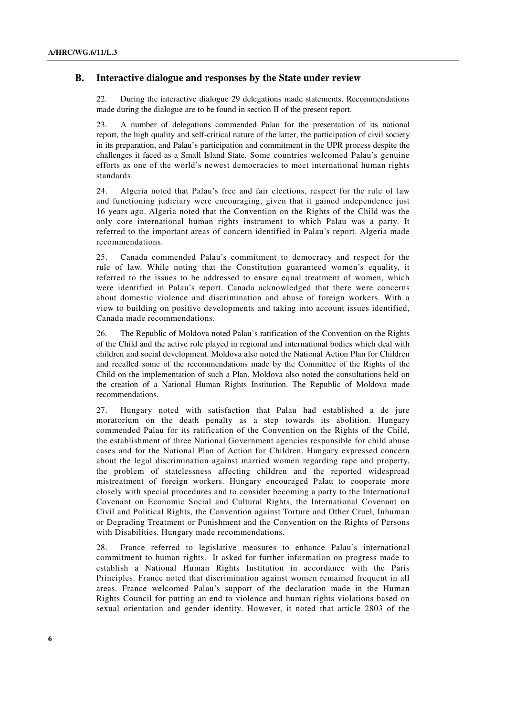#### **B. Interactive dialogue and responses by the State under review**

22. During the interactive dialogue 29 delegations made statements. Recommendations made during the dialogue are to be found in section II of the present report.

23. A number of delegations commended Palau for the presentation of its national report, the high quality and self-critical nature of the latter, the participation of civil society in its preparation, and Palau's participation and commitment in the UPR process despite the challenges it faced as a Small Island State. Some countries welcomed Palau's genuine efforts as one of the world's newest democracies to meet international human rights standards.

24. Algeria noted that Palau's free and fair elections, respect for the rule of law and functioning judiciary were encouraging, given that it gained independence just 16 years ago. Algeria noted that the Convention on the Rights of the Child was the only core international human rights instrument to which Palau was a party. It referred to the important areas of concern identified in Palau's report. Algeria made recommendations.

25. Canada commended Palau's commitment to democracy and respect for the rule of law. While noting that the Constitution guaranteed women's equality, it referred to the issues to be addressed to ensure equal treatment of women, which were identified in Palau's report. Canada acknowledged that there were concerns about domestic violence and discrimination and abuse of foreign workers. With a view to building on positive developments and taking into account issues identified, Canada made recommendations.

26. The Republic of Moldova noted Palau's ratification of the Convention on the Rights of the Child and the active role played in regional and international bodies which deal with children and social development. Moldova also noted the National Action Plan for Children and recalled some of the recommendations made by the Committee of the Rights of the Child on the implementation of such a Plan. Moldova also noted the consultations held on the creation of a National Human Rights Institution. The Republic of Moldova made recommendations.

27. Hungary noted with satisfaction that Palau had established a de jure moratorium on the death penalty as a step towards its abolition. Hungary commended Palau for its ratification of the Convention on the Rights of the Child, the establishment of three National Government agencies responsible for child abuse cases and for the National Plan of Action for Children. Hungary expressed concern about the legal discrimination against married women regarding rape and property, the problem of statelessness affecting children and the reported widespread mistreatment of foreign workers. Hungary encouraged Palau to cooperate more closely with special procedures and to consider becoming a party to the International Covenant on Economic Social and Cultural Rights, the International Covenant on Civil and Political Rights, the Convention against Torture and Other Cruel, Inhuman or Degrading Treatment or Punishment and the Convention on the Rights of Persons with Disabilities. Hungary made recommendations.

28. France referred to legislative measures to enhance Palau's international commitment to human rights. It asked for further information on progress made to establish a National Human Rights Institution in accordance with the Paris Principles. France noted that discrimination against women remained frequent in all areas. France welcomed Palau's support of the declaration made in the Human Rights Council for putting an end to violence and human rights violations based on sexual orientation and gender identity. However, it noted that article 2803 of the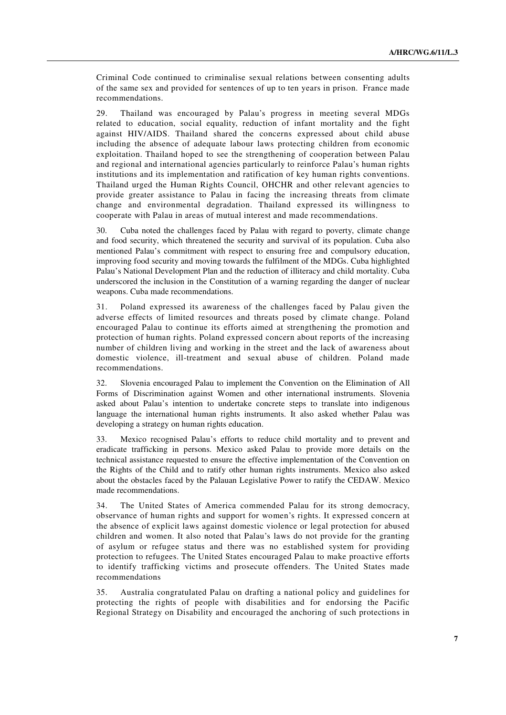Criminal Code continued to criminalise sexual relations between consenting adults of the same sex and provided for sentences of up to ten years in prison. France made recommendations.

29. Thailand was encouraged by Palau's progress in meeting several MDGs related to education, social equality, reduction of infant mortality and the fight against HIV/AIDS. Thailand shared the concerns expressed about child abuse including the absence of adequate labour laws protecting children from economic exploitation. Thailand hoped to see the strengthening of cooperation between Palau and regional and international agencies particularly to reinforce Palau's human rights institutions and its implementation and ratification of key human rights conventions. Thailand urged the Human Rights Council, OHCHR and other relevant agencies to provide greater assistance to Palau in facing the increasing threats from climate change and environmental degradation. Thailand expressed its willingness to cooperate with Palau in areas of mutual interest and made recommendations.

30. Cuba noted the challenges faced by Palau with regard to poverty, climate change and food security, which threatened the security and survival of its population. Cuba also mentioned Palau's commitment with respect to ensuring free and compulsory education, improving food security and moving towards the fulfilment of the MDGs. Cuba highlighted Palau's National Development Plan and the reduction of illiteracy and child mortality. Cuba underscored the inclusion in the Constitution of a warning regarding the danger of nuclear weapons. Cuba made recommendations.

31. Poland expressed its awareness of the challenges faced by Palau given the adverse effects of limited resources and threats posed by climate change. Poland encouraged Palau to continue its efforts aimed at strengthening the promotion and protection of human rights. Poland expressed concern about reports of the increasing number of children living and working in the street and the lack of awareness about domestic violence, ill-treatment and sexual abuse of children. Poland made recommendations.

32. Slovenia encouraged Palau to implement the Convention on the Elimination of All Forms of Discrimination against Women and other international instruments. Slovenia asked about Palau's intention to undertake concrete steps to translate into indigenous language the international human rights instruments. It also asked whether Palau was developing a strategy on human rights education.

33. Mexico recognised Palau's efforts to reduce child mortality and to prevent and eradicate trafficking in persons. Mexico asked Palau to provide more details on the technical assistance requested to ensure the effective implementation of the Convention on the Rights of the Child and to ratify other human rights instruments. Mexico also asked about the obstacles faced by the Palauan Legislative Power to ratify the CEDAW. Mexico made recommendations.

34. The United States of America commended Palau for its strong democracy, observance of human rights and support for women's rights. It expressed concern at the absence of explicit laws against domestic violence or legal protection for abused children and women. It also noted that Palau's laws do not provide for the granting of asylum or refugee status and there was no established system for providing protection to refugees. The United States encouraged Palau to make proactive efforts to identify trafficking victims and prosecute offenders. The United States made recommendations

35. Australia congratulated Palau on drafting a national policy and guidelines for protecting the rights of people with disabilities and for endorsing the Pacific Regional Strategy on Disability and encouraged the anchoring of such protections in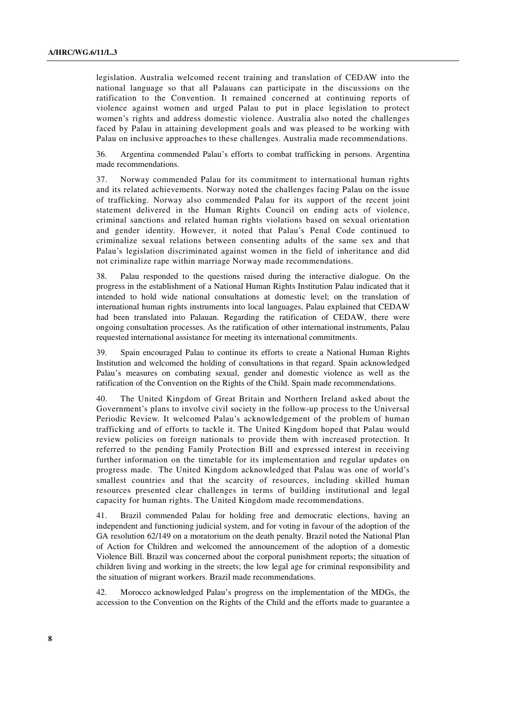legislation. Australia welcomed recent training and translation of CEDAW into the national language so that all Palauans can participate in the discussions on the ratification to the Convention. It remained concerned at continuing reports of violence against women and urged Palau to put in place legislation to protect women's rights and address domestic violence. Australia also noted the challenges faced by Palau in attaining development goals and was pleased to be working with Palau on inclusive approaches to these challenges. Australia made recommendations.

36. Argentina commended Palau's efforts to combat trafficking in persons. Argentina made recommendations.

37. Norway commended Palau for its commitment to international human rights and its related achievements. Norway noted the challenges facing Palau on the issue of trafficking. Norway also commended Palau for its support of the recent joint statement delivered in the Human Rights Council on ending acts of violence, criminal sanctions and related human rights violations based on sexual orientation and gender identity. However, it noted that Palau's Penal Code continued to criminalize sexual relations between consenting adults of the same sex and that Palau's legislation discriminated against women in the field of inheritance and did not criminalize rape within marriage Norway made recommendations.

38. Palau responded to the questions raised during the interactive dialogue. On the progress in the establishment of a National Human Rights Institution Palau indicated that it intended to hold wide national consultations at domestic level; on the translation of international human rights instruments into local languages, Palau explained that CEDAW had been translated into Palauan. Regarding the ratification of CEDAW, there were ongoing consultation processes. As the ratification of other international instruments, Palau requested international assistance for meeting its international commitments.

39. Spain encouraged Palau to continue its efforts to create a National Human Rights Institution and welcomed the holding of consultations in that regard. Spain acknowledged Palau's measures on combating sexual, gender and domestic violence as well as the ratification of the Convention on the Rights of the Child. Spain made recommendations.

40. The United Kingdom of Great Britain and Northern Ireland asked about the Government's plans to involve civil society in the follow-up process to the Universal Periodic Review. It welcomed Palau's acknowledgement of the problem of human trafficking and of efforts to tackle it. The United Kingdom hoped that Palau would review policies on foreign nationals to provide them with increased protection. It referred to the pending Family Protection Bill and expressed interest in receiving further information on the timetable for its implementation and regular updates on progress made. The United Kingdom acknowledged that Palau was one of world's smallest countries and that the scarcity of resources, including skilled human resources presented clear challenges in terms of building institutional and legal capacity for human rights. The United Kingdom made recommendations.

41. Brazil commended Palau for holding free and democratic elections, having an independent and functioning judicial system, and for voting in favour of the adoption of the GA resolution 62/149 on a moratorium on the death penalty. Brazil noted the National Plan of Action for Children and welcomed the announcement of the adoption of a domestic Violence Bill. Brazil was concerned about the corporal punishment reports; the situation of children living and working in the streets; the low legal age for criminal responsibility and the situation of migrant workers. Brazil made recommendations.

42. Morocco acknowledged Palau's progress on the implementation of the MDGs, the accession to the Convention on the Rights of the Child and the efforts made to guarantee a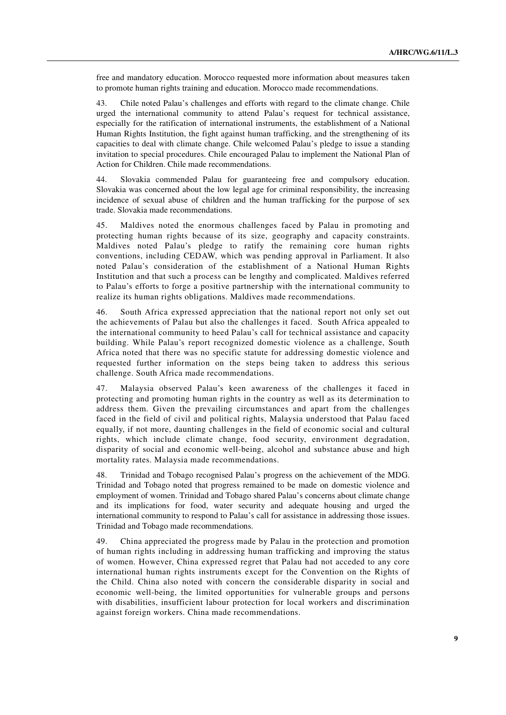free and mandatory education. Morocco requested more information about measures taken to promote human rights training and education. Morocco made recommendations.

43. Chile noted Palau's challenges and efforts with regard to the climate change. Chile urged the international community to attend Palau's request for technical assistance, especially for the ratification of international instruments, the establishment of a National Human Rights Institution, the fight against human trafficking, and the strengthening of its capacities to deal with climate change. Chile welcomed Palau's pledge to issue a standing invitation to special procedures. Chile encouraged Palau to implement the National Plan of Action for Children. Chile made recommendations.

44. Slovakia commended Palau for guaranteeing free and compulsory education. Slovakia was concerned about the low legal age for criminal responsibility, the increasing incidence of sexual abuse of children and the human trafficking for the purpose of sex trade. Slovakia made recommendations.

45. Maldives noted the enormous challenges faced by Palau in promoting and protecting human rights because of its size, geography and capacity constraints. Maldives noted Palau's pledge to ratify the remaining core human rights conventions, including CEDAW, which was pending approval in Parliament. It also noted Palau's consideration of the establishment of a National Human Rights Institution and that such a process can be lengthy and complicated. Maldives referred to Palau's efforts to forge a positive partnership with the international community to realize its human rights obligations. Maldives made recommendations.

46. South Africa expressed appreciation that the national report not only set out the achievements of Palau but also the challenges it faced. South Africa appealed to the international community to heed Palau's call for technical assistance and capacity building. While Palau's report recognized domestic violence as a challenge, South Africa noted that there was no specific statute for addressing domestic violence and requested further information on the steps being taken to address this serious challenge. South Africa made recommendations.

47. Malaysia observed Palau's keen awareness of the challenges it faced in protecting and promoting human rights in the country as well as its determination to address them. Given the prevailing circumstances and apart from the challenges faced in the field of civil and political rights, Malaysia understood that Palau faced equally, if not more, daunting challenges in the field of economic social and cultural rights, which include climate change, food security, environment degradation, disparity of social and economic well-being, alcohol and substance abuse and high mortality rates. Malaysia made recommendations.

48. Trinidad and Tobago recognised Palau's progress on the achievement of the MDG. Trinidad and Tobago noted that progress remained to be made on domestic violence and employment of women. Trinidad and Tobago shared Palau's concerns about climate change and its implications for food, water security and adequate housing and urged the international community to respond to Palau's call for assistance in addressing those issues. Trinidad and Tobago made recommendations.

49. China appreciated the progress made by Palau in the protection and promotion of human rights including in addressing human trafficking and improving the status of women. However, China expressed regret that Palau had not acceded to any core international human rights instruments except for the Convention on the Rights of the Child. China also noted with concern the considerable disparity in social and economic well-being, the limited opportunities for vulnerable groups and persons with disabilities, insufficient labour protection for local workers and discrimination against foreign workers. China made recommendations.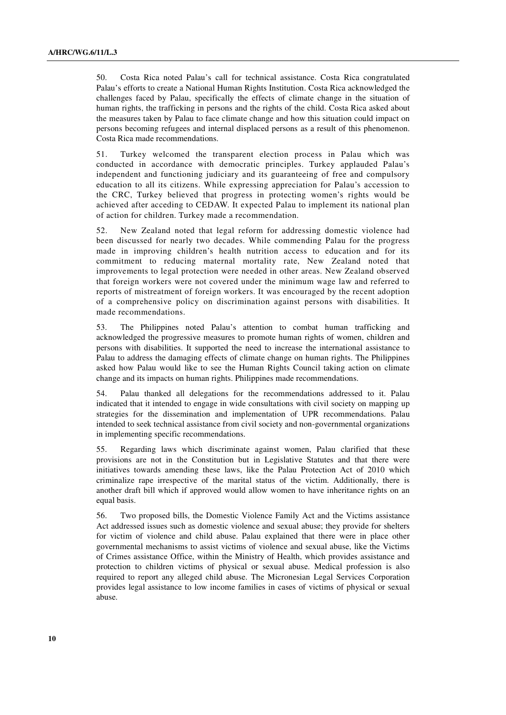50. Costa Rica noted Palau's call for technical assistance. Costa Rica congratulated Palau's efforts to create a National Human Rights Institution. Costa Rica acknowledged the challenges faced by Palau, specifically the effects of climate change in the situation of human rights, the trafficking in persons and the rights of the child. Costa Rica asked about the measures taken by Palau to face climate change and how this situation could impact on persons becoming refugees and internal displaced persons as a result of this phenomenon. Costa Rica made recommendations.

51. Turkey welcomed the transparent election process in Palau which was conducted in accordance with democratic principles. Turkey applauded Palau's independent and functioning judiciary and its guaranteeing of free and compulsory education to all its citizens. While expressing appreciation for Palau's accession to the CRC, Turkey believed that progress in protecting women's rights would be achieved after acceding to CEDAW. It expected Palau to implement its national plan of action for children. Turkey made a recommendation.

52. New Zealand noted that legal reform for addressing domestic violence had been discussed for nearly two decades. While commending Palau for the progress made in improving children's health nutrition access to education and for its commitment to reducing maternal mortality rate, New Zealand noted that improvements to legal protection were needed in other areas. New Zealand observed that foreign workers were not covered under the minimum wage law and referred to reports of mistreatment of foreign workers. It was encouraged by the recent adoption of a comprehensive policy on discrimination against persons with disabilities. It made recommendations.

53. The Philippines noted Palau's attention to combat human trafficking and acknowledged the progressive measures to promote human rights of women, children and persons with disabilities. It supported the need to increase the international assistance to Palau to address the damaging effects of climate change on human rights. The Philippines asked how Palau would like to see the Human Rights Council taking action on climate change and its impacts on human rights. Philippines made recommendations.

54. Palau thanked all delegations for the recommendations addressed to it. Palau indicated that it intended to engage in wide consultations with civil society on mapping up strategies for the dissemination and implementation of UPR recommendations. Palau intended to seek technical assistance from civil society and non-governmental organizations in implementing specific recommendations.

55. Regarding laws which discriminate against women, Palau clarified that these provisions are not in the Constitution but in Legislative Statutes and that there were initiatives towards amending these laws, like the Palau Protection Act of 2010 which criminalize rape irrespective of the marital status of the victim. Additionally, there is another draft bill which if approved would allow women to have inheritance rights on an equal basis.

56. Two proposed bills, the Domestic Violence Family Act and the Victims assistance Act addressed issues such as domestic violence and sexual abuse; they provide for shelters for victim of violence and child abuse. Palau explained that there were in place other governmental mechanisms to assist victims of violence and sexual abuse, like the Victims of Crimes assistance Office, within the Ministry of Health, which provides assistance and protection to children victims of physical or sexual abuse. Medical profession is also required to report any alleged child abuse. The Micronesian Legal Services Corporation provides legal assistance to low income families in cases of victims of physical or sexual abuse.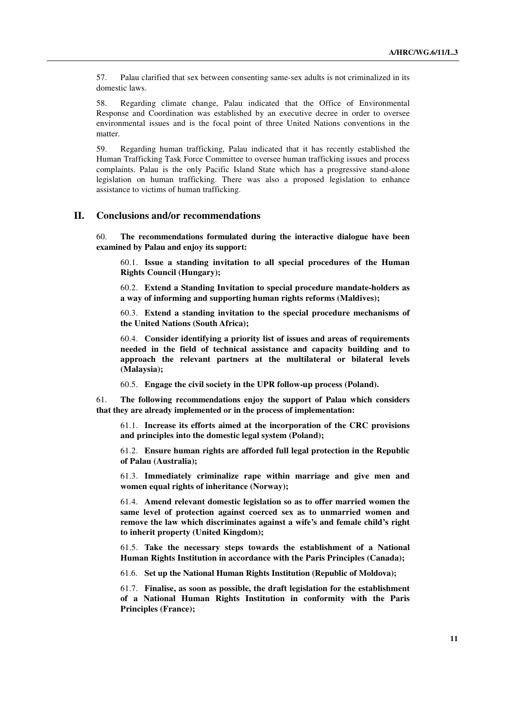57. Palau clarified that sex between consenting same-sex adults is not criminalized in its domestic laws.

58. Regarding climate change, Palau indicated that the Office of Environmental Response and Coordination was established by an executive decree in order to oversee environmental issues and is the focal point of three United Nations conventions in the matter.

59. Regarding human trafficking, Palau indicated that it has recently established the Human Trafficking Task Force Committee to oversee human trafficking issues and process complaints. Palau is the only Pacific Island State which has a progressive stand-alone legislation on human trafficking. There was also a proposed legislation to enhance assistance to victims of human trafficking.

#### **II. Conclusions and/or recommendations**

60. **The recommendations formulated during the interactive dialogue have been examined by Palau and enjoy its support:**

60.1. **Issue a standing invitation to all special procedures of the Human Rights Council (Hungary);**

60.2. **Extend a Standing Invitation to special procedure mandate-holders as a way of informing and supporting human rights reforms (Maldives);**

60.3. **Extend a standing invitation to the special procedure mechanisms of the United Nations (South Africa);**

60.4. **Consider identifying a priority list of issues and areas of requirements needed in the field of technical assistance and capacity building and to approach the relevant partners at the multilateral or bilateral levels (Malaysia);**

60.5. **Engage the civil society in the UPR follow-up process (Poland).**

61. **The following recommendations enjoy the support of Palau which considers that they are already implemented or in the process of implementation:**

61.1. **Increase its efforts aimed at the incorporation of the CRC provisions and principles into the domestic legal system (Poland);** 

61.2. **Ensure human rights are afforded full legal protection in the Republic of Palau (Australia);** 

61.3. **Immediately criminalize rape within marriage and give men and women equal rights of inheritance (Norway);** 

61.4. **Amend relevant domestic legislation so as to offer married women the same level of protection against coerced sex as to unmarried women and remove the law which discriminates against a wife's and female child's right to inherit property (United Kingdom);** 

61.5. **Take the necessary steps towards the establishment of a National Human Rights Institution in accordance with the Paris Principles (Canada);** 

61.6. **Set up the National Human Rights Institution (Republic of Moldova);** 

61.7. **Finalise, as soon as possible, the draft legislation for the establishment of a National Human Rights Institution in conformity with the Paris Principles (France);**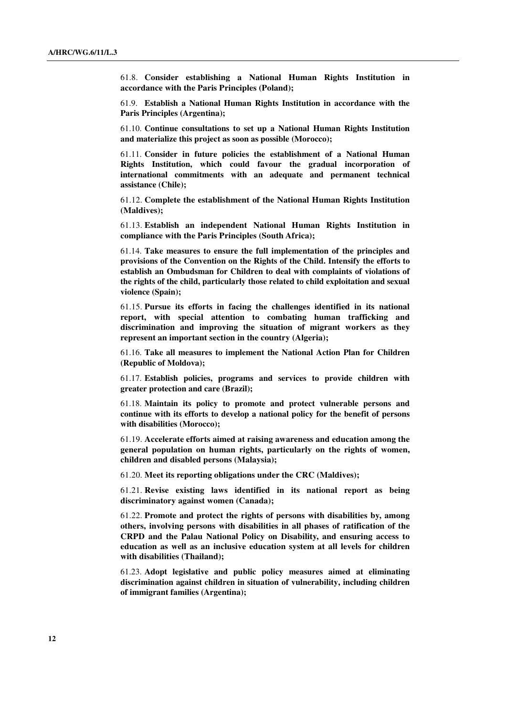61.8. **Consider establishing a National Human Rights Institution in accordance with the Paris Principles (Poland);** 

61.9. **Establish a National Human Rights Institution in accordance with the Paris Principles (Argentina);** 

61.10. **Continue consultations to set up a National Human Rights Institution and materialize this project as soon as possible (Morocco);** 

61.11. **Consider in future policies the establishment of a National Human Rights Institution, which could favour the gradual incorporation of international commitments with an adequate and permanent technical assistance (Chile);** 

61.12. **Complete the establishment of the National Human Rights Institution (Maldives);** 

61.13. **Establish an independent National Human Rights Institution in compliance with the Paris Principles (South Africa);** 

61.14. **Take measures to ensure the full implementation of the principles and provisions of the Convention on the Rights of the Child. Intensify the efforts to establish an Ombudsman for Children to deal with complaints of violations of the rights of the child, particularly those related to child exploitation and sexual violence (Spain);** 

61.15. **Pursue its efforts in facing the challenges identified in its national report, with special attention to combating human trafficking and discrimination and improving the situation of migrant workers as they represent an important section in the country (Algeria);** 

61.16. **Take all measures to implement the National Action Plan for Children (Republic of Moldova);** 

61.17. **Establish policies, programs and services to provide children with greater protection and care (Brazil);** 

61.18. **Maintain its policy to promote and protect vulnerable persons and continue with its efforts to develop a national policy for the benefit of persons with disabilities (Morocco);** 

61.19. **Accelerate efforts aimed at raising awareness and education among the general population on human rights, particularly on the rights of women, children and disabled persons (Malaysia);** 

61.20. **Meet its reporting obligations under the CRC (Maldives);** 

61.21. **Revise existing laws identified in its national report as being discriminatory against women (Canada);** 

61.22. **Promote and protect the rights of persons with disabilities by, among others, involving persons with disabilities in all phases of ratification of the CRPD and the Palau National Policy on Disability, and ensuring access to education as well as an inclusive education system at all levels for children with disabilities (Thailand);** 

61.23. **Adopt legislative and public policy measures aimed at eliminating discrimination against children in situation of vulnerability, including children of immigrant families (Argentina);**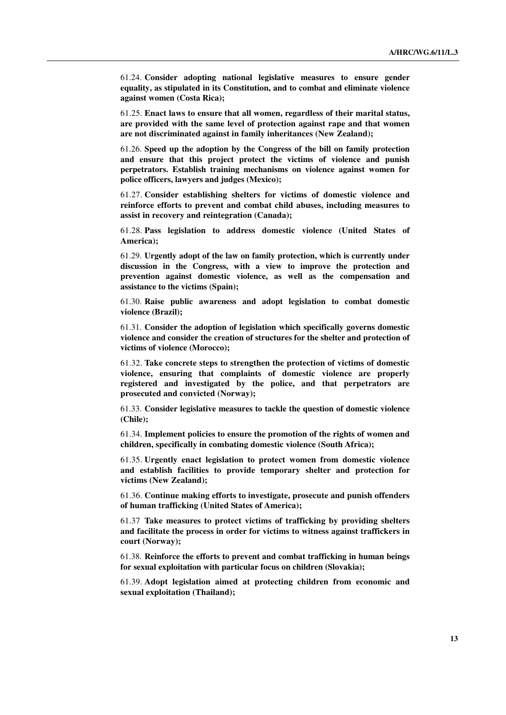61.24. **Consider adopting national legislative measures to ensure gender equality, as stipulated in its Constitution, and to combat and eliminate violence against women (Costa Rica);** 

61.25. **Enact laws to ensure that all women, regardless of their marital status, are provided with the same level of protection against rape and that women are not discriminated against in family inheritances (New Zealand);** 

61.26. **Speed up the adoption by the Congress of the bill on family protection and ensure that this project protect the victims of violence and punish perpetrators. Establish training mechanisms on violence against women for police officers, lawyers and judges (Mexico);** 

61.27. **Consider establishing shelters for victims of domestic violence and reinforce efforts to prevent and combat child abuses, including measures to assist in recovery and reintegration (Canada);** 

61.28. **Pass legislation to address domestic violence (United States of America);**

61.29. **Urgently adopt of the law on family protection, which is currently under discussion in the Congress, with a view to improve the protection and prevention against domestic violence, as well as the compensation and assistance to the victims (Spain);** 

61.30. **Raise public awareness and adopt legislation to combat domestic violence (Brazil);** 

61.31. **Consider the adoption of legislation which specifically governs domestic violence and consider the creation of structures for the shelter and protection of victims of violence (Morocco);** 

61.32. **Take concrete steps to strengthen the protection of victims of domestic violence, ensuring that complaints of domestic violence are properly registered and investigated by the police, and that perpetrators are prosecuted and convicted (Norway);** 

61.33. **Consider legislative measures to tackle the question of domestic violence (Chile);** 

61.34. **Implement policies to ensure the promotion of the rights of women and children, specifically in combating domestic violence (South Africa);** 

61.35. **Urgently enact legislation to protect women from domestic violence and establish facilities to provide temporary shelter and protection for victims (New Zealand);** 

61.36. **Continue making efforts to investigate, prosecute and punish offenders of human trafficking (United States of America);** 

61.37 **Take measures to protect victims of trafficking by providing shelters and facilitate the process in order for victims to witness against traffickers in court (Norway);** 

61.38. **Reinforce the efforts to prevent and combat trafficking in human beings for sexual exploitation with particular focus on children (Slovakia);** 

61.39. **Adopt legislation aimed at protecting children from economic and sexual exploitation (Thailand);**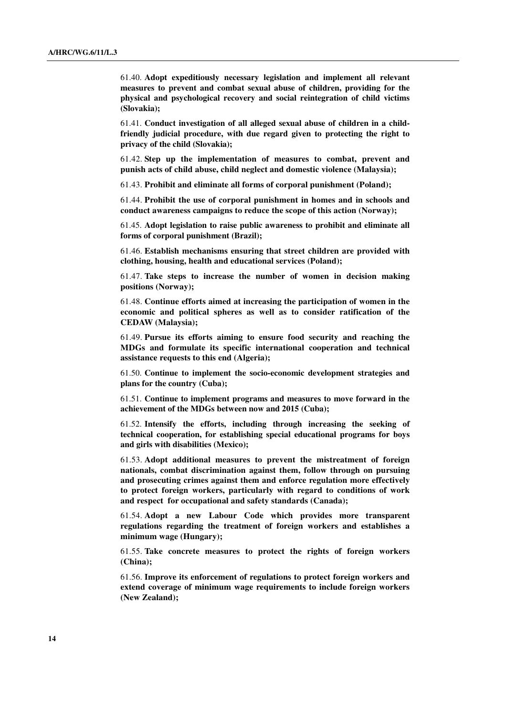61.40. **Adopt expeditiously necessary legislation and implement all relevant measures to prevent and combat sexual abuse of children, providing for the physical and psychological recovery and social reintegration of child victims (Slovakia);** 

61.41. **Conduct investigation of all alleged sexual abuse of children in a childfriendly judicial procedure, with due regard given to protecting the right to privacy of the child (Slovakia);** 

61.42. **Step up the implementation of measures to combat, prevent and punish acts of child abuse, child neglect and domestic violence (Malaysia);** 

61.43. **Prohibit and eliminate all forms of corporal punishment (Poland);** 

61.44. **Prohibit the use of corporal punishment in homes and in schools and conduct awareness campaigns to reduce the scope of this action (Norway);** 

61.45. **Adopt legislation to raise public awareness to prohibit and eliminate all forms of corporal punishment (Brazil);** 

61.46. **Establish mechanisms ensuring that street children are provided with clothing, housing, health and educational services (Poland);** 

61.47. **Take steps to increase the number of women in decision making positions (Norway);** 

61.48. **Continue efforts aimed at increasing the participation of women in the economic and political spheres as well as to consider ratification of the CEDAW (Malaysia);** 

61.49. **Pursue its efforts aiming to ensure food security and reaching the MDGs and formulate its specific international cooperation and technical assistance requests to this end (Algeria);** 

61.50. **Continue to implement the socio-economic development strategies and plans for the country (Cuba);** 

61.51. **Continue to implement programs and measures to move forward in the achievement of the MDGs between now and 2015 (Cuba);** 

61.52. **Intensify the efforts, including through increasing the seeking of technical cooperation, for establishing special educational programs for boys and girls with disabilities (Mexico);** 

61.53. **Adopt additional measures to prevent the mistreatment of foreign nationals, combat discrimination against them, follow through on pursuing and prosecuting crimes against them and enforce regulation more effectively to protect foreign workers, particularly with regard to conditions of work and respect for occupational and safety standards (Canada);** 

61.54. **Adopt a new Labour Code which provides more transparent regulations regarding the treatment of foreign workers and establishes a minimum wage (Hungary);** 

61.55. **Take concrete measures to protect the rights of foreign workers (China);** 

61.56. **Improve its enforcement of regulations to protect foreign workers and extend coverage of minimum wage requirements to include foreign workers (New Zealand);**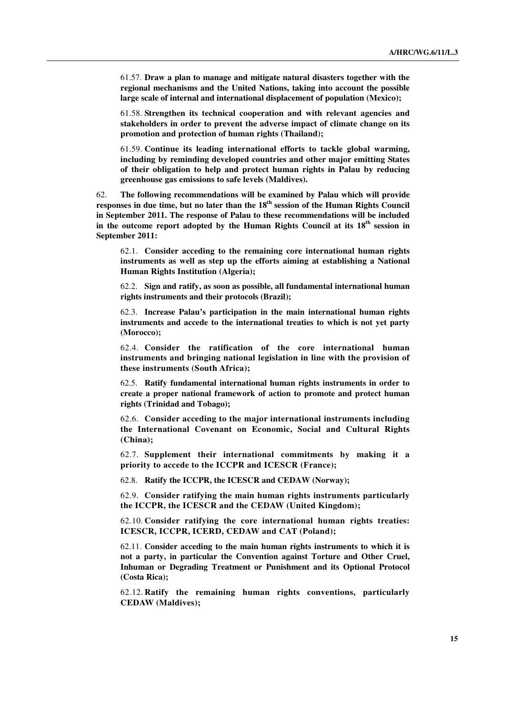61.57. **Draw a plan to manage and mitigate natural disasters together with the regional mechanisms and the United Nations, taking into account the possible large scale of internal and international displacement of population (Mexico);** 

61.58. **Strengthen its technical cooperation and with relevant agencies and stakeholders in order to prevent the adverse impact of climate change on its promotion and protection of human rights (Thailand);** 

61.59. **Continue its leading international efforts to tackle global warming, including by reminding developed countries and other major emitting States of their obligation to help and protect human rights in Palau by reducing greenhouse gas emissions to safe levels (Maldives).**

62. **The following recommendations will be examined by Palau which will provide responses in due time, but no later than the 18th session of the Human Rights Council in September 2011. The response of Palau to these recommendations will be included**  in the outcome report adopted by the Human Rights Council at its  $18<sup>th</sup>$  session in **September 2011:**

62.1. **Consider acceding to the remaining core international human rights instruments as well as step up the efforts aiming at establishing a National Human Rights Institution (Algeria);**

62.2. **Sign and ratify, as soon as possible, all fundamental international human rights instruments and their protocols (Brazil);** 

62.3. **Increase Palau's participation in the main international human rights instruments and accede to the international treaties to which is not yet party (Morocco);** 

62.4. **Consider the ratification of the core international human instruments and bringing national legislation in line with the provision of these instruments (South Africa);** 

62.5. **Ratify fundamental international human rights instruments in order to create a proper national framework of action to promote and protect human rights (Trinidad and Tobago);** 

62.6. **Consider acceding to the major international instruments including the International Covenant on Economic, Social and Cultural Rights (China);** 

62.7. **Supplement their international commitments by making it a priority to accede to the ICCPR and ICESCR (France);** 

62.8. **Ratify the ICCPR, the ICESCR and CEDAW (Norway);** 

62.9. **Consider ratifying the main human rights instruments particularly the ICCPR, the ICESCR and the CEDAW (United Kingdom);** 

62.10. **Consider ratifying the core international human rights treaties: ICESCR, ICCPR, ICERD, CEDAW and CAT (Poland);** 

62.11. **Consider acceding to the main human rights instruments to which it is not a party, in particular the Convention against Torture and Other Cruel, Inhuman or Degrading Treatment or Punishment and its Optional Protocol (Costa Rica);** 

62.12. **Ratify the remaining human rights conventions, particularly CEDAW (Maldives);**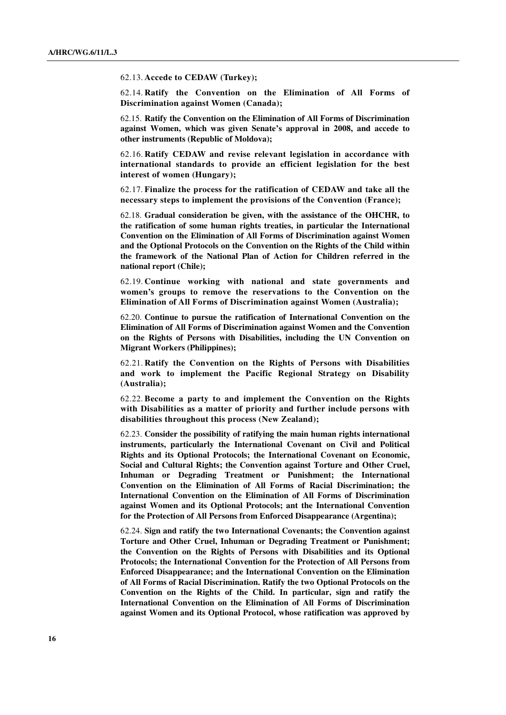62.13. **Accede to CEDAW (Turkey);** 

62.14. **Ratify the Convention on the Elimination of All Forms of Discrimination against Women (Canada);** 

62.15. **Ratify the Convention on the Elimination of All Forms of Discrimination against Women, which was given Senate's approval in 2008, and accede to other instruments (Republic of Moldova);** 

62.16. **Ratify CEDAW and revise relevant legislation in accordance with international standards to provide an efficient legislation for the best interest of women (Hungary);** 

62.17. **Finalize the process for the ratification of CEDAW and take all the necessary steps to implement the provisions of the Convention (France);** 

62.18. **Gradual consideration be given, with the assistance of the OHCHR, to the ratification of some human rights treaties, in particular the International Convention on the Elimination of All Forms of Discrimination against Women and the Optional Protocols on the Convention on the Rights of the Child within the framework of the National Plan of Action for Children referred in the national report (Chile);** 

62.19. **Continue working with national and state governments and women's groups to remove the reservations to the Convention on the Elimination of All Forms of Discrimination against Women (Australia);** 

62.20. **Continue to pursue the ratification of International Convention on the Elimination of All Forms of Discrimination against Women and the Convention on the Rights of Persons with Disabilities, including the UN Convention on Migrant Workers (Philippines);** 

62.21. **Ratify the Convention on the Rights of Persons with Disabilities and work to implement the Pacific Regional Strategy on Disability (Australia);** 

62.22. **Become a party to and implement the Convention on the Rights with Disabilities as a matter of priority and further include persons with disabilities throughout this process (New Zealand);**

62.23. **Consider the possibility of ratifying the main human rights international instruments, particularly the International Covenant on Civil and Political Rights and its Optional Protocols; the International Covenant on Economic, Social and Cultural Rights; the Convention against Torture and Other Cruel, Inhuman or Degrading Treatment or Punishment; the International Convention on the Elimination of All Forms of Racial Discrimination; the International Convention on the Elimination of All Forms of Discrimination against Women and its Optional Protocols; ant the International Convention for the Protection of All Persons from Enforced Disappearance (Argentina);** 

62.24. **Sign and ratify the two International Covenants; the Convention against Torture and Other Cruel, Inhuman or Degrading Treatment or Punishment; the Convention on the Rights of Persons with Disabilities and its Optional Protocols; the International Convention for the Protection of All Persons from Enforced Disappearance; and the International Convention on the Elimination of All Forms of Racial Discrimination. Ratify the two Optional Protocols on the Convention on the Rights of the Child. In particular, sign and ratify the International Convention on the Elimination of All Forms of Discrimination against Women and its Optional Protocol, whose ratification was approved by**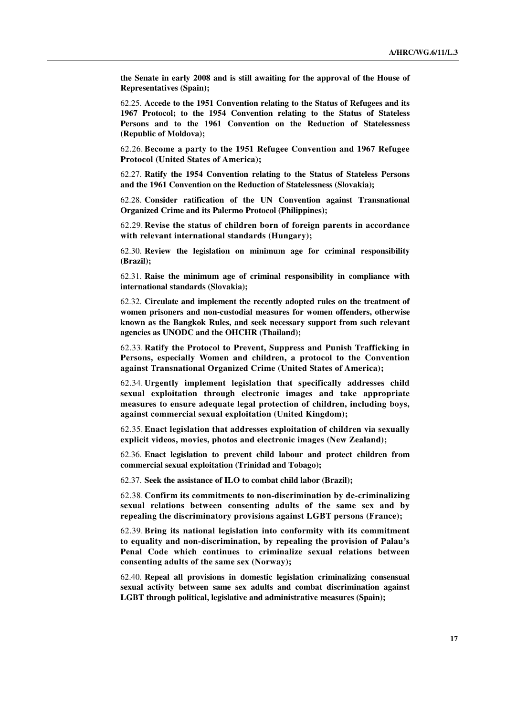**the Senate in early 2008 and is still awaiting for the approval of the House of Representatives (Spain);** 

62.25. **Accede to the 1951 Convention relating to the Status of Refugees and its 1967 Protocol; to the 1954 Convention relating to the Status of Stateless Persons and to the 1961 Convention on the Reduction of Statelessness (Republic of Moldova);** 

62.26. **Become a party to the 1951 Refugee Convention and 1967 Refugee Protocol (United States of America);** 

62.27. **Ratify the 1954 Convention relating to the Status of Stateless Persons and the 1961 Convention on the Reduction of Statelessness (Slovakia);** 

62.28. **Consider ratification of the UN Convention against Transnational Organized Crime and its Palermo Protocol (Philippines);** 

62.29. **Revise the status of children born of foreign parents in accordance with relevant international standards (Hungary);** 

62.30. **Review the legislation on minimum age for criminal responsibility (Brazil);** 

62.31. **Raise the minimum age of criminal responsibility in compliance with international standards (Slovakia);** 

62.32. **Circulate and implement the recently adopted rules on the treatment of women prisoners and non-custodial measures for women offenders, otherwise known as the Bangkok Rules, and seek necessary support from such relevant agencies as UNODC and the OHCHR (Thailand);** 

62.33. **Ratify the Protocol to Prevent, Suppress and Punish Trafficking in Persons, especially Women and children, a protocol to the Convention against Transnational Organized Crime (United States of America);** 

62.34. **Urgently implement legislation that specifically addresses child sexual exploitation through electronic images and take appropriate measures to ensure adequate legal protection of children, including boys, against commercial sexual exploitation (United Kingdom);** 

62.35. **Enact legislation that addresses exploitation of children via sexually explicit videos, movies, photos and electronic images (New Zealand);** 

62.36. **Enact legislation to prevent child labour and protect children from commercial sexual exploitation (Trinidad and Tobago);** 

62.37. **Seek the assistance of ILO to combat child labor (Brazil);** 

62.38. **Confirm its commitments to non-discrimination by de-criminalizing sexual relations between consenting adults of the same sex and by repealing the discriminatory provisions against LGBT persons (France);** 

62.39. **Bring its national legislation into conformity with its commitment to equality and non-discrimination, by repealing the provision of Palau's Penal Code which continues to criminalize sexual relations between consenting adults of the same sex (Norway);** 

62.40. **Repeal all provisions in domestic legislation criminalizing consensual sexual activity between same sex adults and combat discrimination against LGBT through political, legislative and administrative measures (Spain);**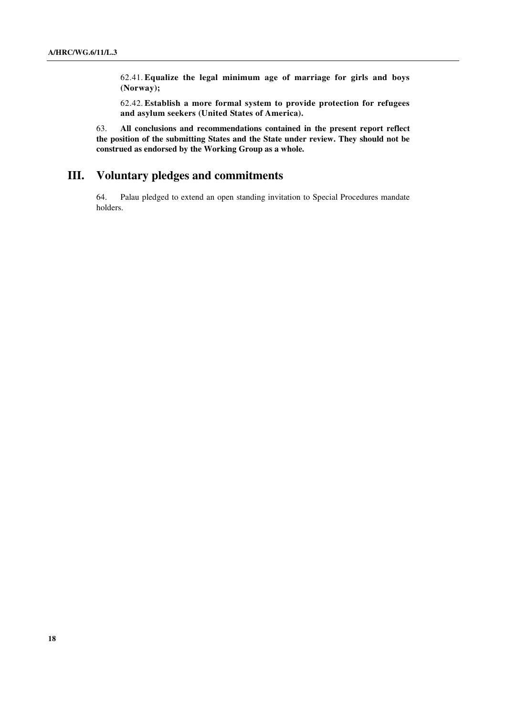62.41. **Equalize the legal minimum age of marriage for girls and boys (Norway);** 

62.42. **Establish a more formal system to provide protection for refugees and asylum seekers (United States of America).**

63. **All conclusions and recommendations contained in the present report reflect the position of the submitting States and the State under review. They should not be construed as endorsed by the Working Group as a whole.**

## **III. Voluntary pledges and commitments**

64. Palau pledged to extend an open standing invitation to Special Procedures mandate holders.